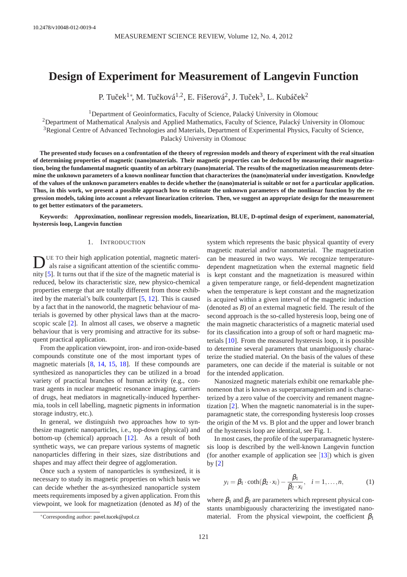# **Design of Experiment for Measurement of Langevin Function**

P. Tuček $^{1*}$ , M. Tučková $^{1,2}$ , E. Fišerová $^{2}$ , J. Tuček $^{3}$ , L. Kubáček $^{2}$ 

<sup>1</sup>Department of Geoinformatics, Faculty of Science, Palacký University in Olomouc

<sup>2</sup>Department of Mathematical Analysis and Applied Mathematics, Faculty of Science, Palacký University in Olomouc

<sup>3</sup>Regional Centre of Advanced Technologies and Materials, Department of Experimental Physics, Faculty of Science, Palacký University in Olomouc

**The presented study focuses on a confrontation of the theory of regression models and theory of experiment with the real situation of determining properties of magnetic (nano)materials. Their magnetic properties can be deduced by measuring their magnetization, being the fundamental magnetic quantity of an arbitrary (nano)material. The results of the magnetization measurements determine the unknown parameters of a known nonlinear function that characterizes the (nano)material under investigation. Knowledge of the values of the unknown parameters enables to decide whether the (nano)material is suitable or not for a particular application. Thus, in this work, we present a possible approach how to estimate the unknown parameters of the nonlinear function by the regression models, taking into account a relevant linearization criterion. Then, we suggest an appropriate design for the measurement to get better estimators of the parameters.**

**Keywords: Approximation, nonlinear regression models, linearization, BLUE, D-optimal design of experiment, nanomaterial, hysteresis loop, Langevin function**

# 1. INTRODUCTION

D UE TO their high application potential, magnetic materials raise a significant attention of the scientific community [\[5\]](#page-6-0). It turns out that if the size of the magnetic material is reduced, below its characteristic size, new physico-chemical properties emerge that are totally different from those exhibited by the material's bulk counterpart [\[5,](#page-6-0) [12\]](#page-6-1). This is caused by a fact that in the nanoworld, the magnetic behaviour of materials is governed by other physical laws than at the macroscopic scale [\[2\]](#page-6-2). In almost all cases, we observe a magnetic behaviour that is very promising and attractive for its subsequent practical application.

From the application viewpoint, iron- and iron-oxide-based compounds constitute one of the most important types of magnetic materials [\[8,](#page-6-3) [14,](#page-6-4) [15,](#page-6-5) [18\]](#page-6-6). If these compounds are synthesized as nanoparticles they can be utilized in a broad variety of practical branches of human activity (e.g., contrast agents in nuclear magnetic resonance imaging, carriers of drugs, heat mediators in magnetically-induced hyperthermia, tools in cell labelling, magnetic pigments in information storage industry, etc.).

In general, we distinguish two approaches how to synthesize magnetic nanoparticles, i.e., top-down (physical) and bottom-up (chemical) approach [\[12\]](#page-6-1). As a result of both synthetic ways, we can prepare various systems of magnetic nanoparticles differing in their sizes, size distributions and shapes and may affect their degree of agglomeration.

Once such a system of nanoparticles is synthesized, it is necessary to study its magnetic properties on which basis we can decide whether the as-synthesized nanoparticle system meets requirements imposed by a given application. From this viewpoint, we look for magnetization (denoted as *M*) of the

system which represents the basic physical quantity of every magnetic material and/or nanomaterial. The magnetization can be measured in two ways. We recognize temperaturedependent magnetization when the external magnetic field is kept constant and the magnetization is measured within a given temperature range, or field-dependent magnetization when the temperature is kept constant and the magnetization is acquired within a given interval of the magnetic induction (denoted as *B*) of an external magnetic field. The result of the second approach is the so-called hysteresis loop, being one of the main magnetic characteristics of a magnetic material used for its classification into a group of soft or hard magnetic materials [\[10\]](#page-6-7). From the measured hysteresis loop, it is possible to determine several parameters that unambiguously characterize the studied material. On the basis of the values of these parameters, one can decide if the material is suitable or not for the intended application.

Nanosized magnetic materials exhibit one remarkable phenomenon that is known as superparamagnetism and is characterized by a zero value of the coercivity and remanent magnetization [\[2\]](#page-6-2). When the magnetic nanomaterial is in the superparamagnetic state, the corresponding hysteresis loop crosses the origin of the M vs. B plot and the upper and lower branch of the hysteresis loop are identical, see Fig. 1.

In most cases, the profile of the superparamagnetic hysteresis loop is described by the well-known Langevin function (for another example of application see  $[13]$  $[13]$  $[13]$ ) which is given by [\[2\]](#page-6-2)

<span id="page-0-0"></span>
$$
y_i = \beta_1 \cdot \coth(\beta_2 \cdot x_i) - \frac{\beta_1}{\beta_2 \cdot x_i}, \quad i = 1, \dots, n,
$$
 (1)

where  $\beta_1$  and  $\beta_2$  are parameters which represent physical constants unambiguously characterizing the investigated nanomaterial. From the physical viewpoint, the coefficient  $\beta_1$ 

<sup>∗</sup>Corresponding author: [pavel.tucek@upol.cz](mailto:pavel.tucek@upol.cz)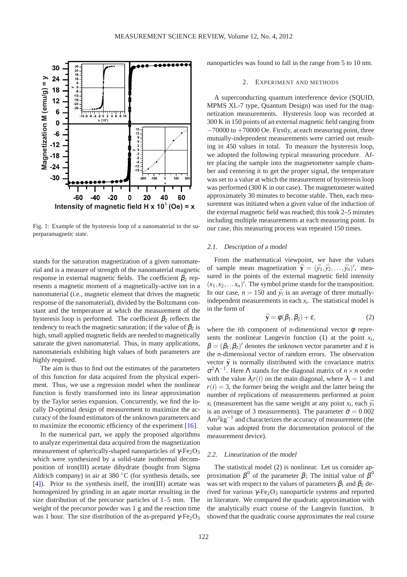

Fig. 1: Example of the hysteresis loop of a nanomaterial in the superparamagnetic state.

stands for the saturation magnetization of a given nanomaterial and is a measure of strength of the nanomaterial magnetic response in external magnetic fields. The coefficient  $\beta_2$  represents a magnetic moment of a magnetically-active ion in a nanomaterial (i.e., magnetic element that drives the magnetic response of the nanomaterial), divided by the Boltzmann constant and the temperature at which the measurement of the hysteresis loop is performed. The coefficient  $\beta_2$  reflects the tendency to reach the magnetic saturation; if the value of  $\beta_2$  is high, small applied magnetic fields are needed to magnetically saturate the given nanomaterial. Thus, in many applications, nanomaterials exhibiting high values of both parameters are highly required.

The aim is thus to find out the estimates of the parameters of this function for data acquired from the physical experiment. Thus, we use a regression model when the nonlinear function is firstly transformed into its linear approximation by the Taylor series expansion. Concurrently, we find the locally D-optimal design of measurement to maximize the accuracy of the found estimators of the unknown parameters and to maximize the economic efficiency of the experiment [\[16\]](#page-6-9).

In the numerical part, we apply the proposed algorithms to analyze experimental data acquired from the magnetization measurement of spherically-shaped nanoparticles of  $\gamma$ -Fe<sub>2</sub>O<sub>3</sub> which were synthesized by a solid-state isothermal decomposition of iron(III) acetate dihydrate (bought from Sigma Aldrich company) in air at 380 ◦C (for synthesis details, see [\[4\]](#page-6-10)). Prior to the synthesis itself, the iron(III) acetate was homogenized by grinding in an agate mortar resulting in the size distribution of the precursor particles of 1–5 mm. The weight of the precursor powder was 1 g and the reaction time was 1 hour. The size distribution of the as-prepared  $γ$ -Fe<sub>2</sub>O<sub>3</sub> nanoparticles was found to fall in the range from 5 to 10 nm.

#### 2. EXPERIMENT AND METHODS

A superconducting quantum interference device (SQUID, MPMS XL-7 type, Quantum Design) was used for the magnetization measurements. Hysteresis loop was recorded at 300 K in 150 points of an external magnetic field ranging from  $-70000$  to  $+70000$  Oe. Firstly, at each measuring point, three mutually-independent measurements were carried out resulting in 450 values in total. To measure the hysteresis loop, we adopted the following typical measuring procedure. After placing the sample into the magnetometer sample chamber and centering it to get the proper signal, the temperature was set to a value at which the measurement of hysteresis loop was performed (300 K in our case). The magnetometer waited approximately 30 minutes to become stable. Then, each measurement was initiated when a given value of the induction of the external magnetic field was reached; this took 2–5 minutes including multiple measurements at each measuring point. In our case, this measuring process was repeated 150 times.

#### 2.1. Description of <sup>a</sup> model

From the mathematical viewpoint, we have the values of sample mean magnetization  $\bar{\mathbf{y}} = (\bar{y}_1, \bar{y}_2, \dots, \bar{y}_n)'$ , measured in the points of the external magnetic field intensity  $(x_1, x_2, \ldots, x_n)'$ . The symbol prime stands for the transposition. In our case,  $n = 150$  and  $\bar{y}_i$  is an average of three mutuallyindependent measurements in each *x<sup>i</sup>* . The statistical model is in the form of

<span id="page-1-0"></span>
$$
\bar{\mathbf{y}} = \phi(\beta_1, \beta_2) + \varepsilon,\tag{2}
$$

where the *i*th component of *n*-dimensional vector  $\phi$  represents the nonlinear Langevin function  $(1)$  at the point  $x_i$ ,  $\beta = (\beta_1, \beta_2)'$  denotes the unknown vector parameter and  $\varepsilon$  is the *n*-dimensional vector of random errors. The observation vector  $\bar{y}$  is normally distributed with the covariance matrix  $σ<sup>2</sup>Λ<sup>-1</sup>$ . Here Λ stands for the diagonal matrix of *n* × *n* order with the value  $\lambda_i r(i)$  on the main diagonal, where  $\lambda_i = 1$  and  $r(i) = 3$ , the former being the weight and the latter being the number of replications of measurements performed at point  $x_i$  (measurement has the same weight at any point  $x_i$ , each  $\bar{y}_i$ is an average of 3 measurements). The parameter  $\sigma = 0.002$  $Am^2kg^{-1}$  and characterizes the accuracy of measurement (the value was adopted from the documentation protocol of the measurement device).

# 2.2. Linearization of the model

The statistical model [\(2\)](#page-1-0) is nonlinear. Let us consider approximation  $\beta^0$  of the parameter  $\beta$ ; The initial value of  $\beta^0$ was set with respect to the values of parameters  $\beta_1$  and  $\beta_2$  derived for various  $\gamma$ -Fe<sub>2</sub>O<sub>3</sub> nanoparticle systems and reported in literature. We compared the quadratic approximation with the analytically exact course of the Langevin function. It showed that the quadratic course approximates the real course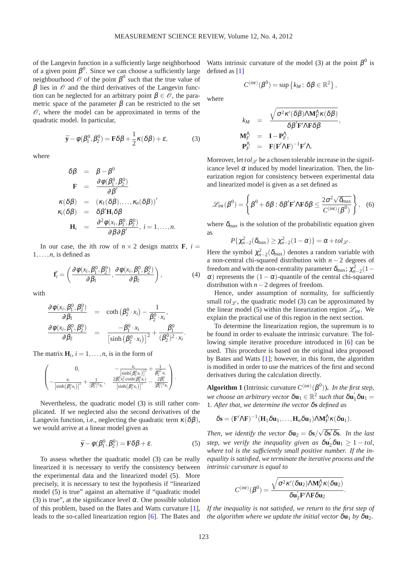of the Langevin function in a sufficiently large neighborhood of a given point  $\beta^0$ . Since we can choose a sufficiently large neighbourhood  $\hat{\mathcal{O}}$  of the point  $\beta^0$  such that the true value of  $β$  lies in  $\mathcal O$  and the third derivatives of the Langevin function can be neglected for an arbitrary point  $\beta \in \mathcal{O}$ , the parametric space of the parameter  $\beta$  can be restricted to the set  $\mathcal O$ , where the model can be approximated in terms of the quadratic model. In particular,

<span id="page-2-0"></span>
$$
\bar{\mathbf{y}} - \phi(\beta_1^0, \beta_2^0) = \mathbf{F}\delta\beta + \frac{1}{2}\kappa(\delta\beta) + \varepsilon,\tag{3}
$$

where

$$
\delta \beta = \beta - \beta^0
$$
\n
$$
\mathbf{F} = \frac{\partial \phi(\beta_1^0, \beta_2^0)}{\partial \beta'}
$$
\n
$$
\kappa(\delta \beta) = (\kappa_1(\delta \beta), ..., \kappa_n(\delta \beta))'
$$
\n
$$
\kappa_i(\delta \beta) = \delta \beta' \mathbf{H}_i \delta \beta
$$
\n
$$
\mathbf{H}_i = \frac{\partial^2 \phi(x_i, \beta_1^0, \beta_2^0)}{\partial \beta \partial \beta'}, i = 1, ..., n.
$$

In our case, the *i*th row of  $n \times 2$  design matrix **F**,  $i =$  $1, \ldots, n$ , is defined as

<span id="page-2-2"></span>
$$
\mathbf{f}'_i = \left(\frac{\partial \phi(x_i, \beta_1^0, \beta_2^0)}{\partial \beta_1}, \frac{\partial \phi(x_i, \beta_1^0, \beta_2^0)}{\partial \beta_2}\right),\tag{4}
$$

with

$$
\frac{\partial \phi(x_i, \beta_1^0, \beta_2^0)}{\partial \beta_1} = \text{coth}(\beta_2^0 \cdot x_i) - \frac{1}{\beta_2^0 \cdot x_i},
$$
  

$$
\frac{\partial \phi(x_i, \beta_1^0, \beta_2^0)}{\partial \beta_2} = \frac{-\beta_1^0 \cdot x_i}{\left[\sinh(\beta_2^0 \cdot x_i)\right]^2} + \frac{\beta_1^0}{(\beta_2^0)^2 \cdot x_i}.
$$

The matrix  $\mathbf{H}_i$ ,  $i = 1, \ldots, n$ , is in the form of

$$
\begin{pmatrix} 0, & -\frac{x_i}{\left[\sinh(\beta_2^{0}x_i)\right]^2} + \frac{1}{\beta_2^{0-2}x_i} \\ -\frac{x_i}{\left[\sinh(\beta_2^{0}x_i)\right]^2} + \frac{1}{[\beta_2^{0}]^{2}x_i}, & \frac{2\beta_1^{0}x_i^2\cosh(\beta_2^{0}x_i)}{\left[\sinh(\beta_2^{0}x_i)\right]^3} - \frac{2\beta_1^{0}}{[\beta_2^{0}]^{3}x_i} \end{pmatrix}.
$$

Nevertheless, the quadratic model [\(3\)](#page-2-0) is still rather complicated. If we neglected also the second derivatives of the Langevin function, i.e., neglecting the quadratic term  $\kappa(\delta\beta)$ , we would arrive at a linear model given as

$$
\bar{\mathbf{y}} - \phi(\beta_1^0, \beta_2^0) = \mathbf{F}\delta\beta + \varepsilon. \tag{5}
$$

To assess whether the quadratic model [\(3\)](#page-2-0) can be really linearized it is necessary to verify the consistency between the experimental data and the linearized model [\(5\)](#page-2-1). More precisely, it is necessary to test the hypothesis if "linearized model [\(5\)](#page-2-1) is true" against an alternative if "quadratic model [\(3\)](#page-2-0) is true", at the significance level  $\alpha$ . One possible solution of this problem, based on the Bates and Watts curvature [\[1\]](#page-6-11), leads to the so-called linearization region [\[6\]](#page-6-12). The Bates and

Watts intrinsic curvature of the model [\(3\)](#page-2-0) at the point  $\beta^0$  is defined as [\[1\]](#page-6-11)

$$
C^{(int)}(\beta^0) = \sup \{ k_M \colon \delta \beta \in \mathbb{R}^2 \},
$$

where

$$
k_M = \frac{\sqrt{\sigma^2 \kappa'(\delta \beta) \Delta M_F^{\Lambda} \kappa(\delta \beta)}}{\delta \beta' \mathbf{F'} \Delta \mathbf{F} \delta \beta},
$$
  
\n
$$
\mathbf{M}_F^{\Lambda} = \mathbf{I} - \mathbf{P}_F^{\Lambda},
$$
  
\n
$$
\mathbf{P}_F^{\Lambda} = \mathbf{F} (\mathbf{F'} \Delta \mathbf{F})^{-1} \mathbf{F'} \Delta.
$$

Moreover, let  $tol_{\mathscr{L}}$  be a chosen tolerable increase in the significance level  $\alpha$  induced by model linearization. Then, the linearization region for consistency between experimental data and linearized model is given as a set defined as

$$
\mathscr{L}_{int}(\beta^{0}) = \left\{\beta^{0} + \delta\beta : \delta\beta' \mathbf{F}' \Lambda \mathbf{F} \delta\beta \leq \frac{2\sigma^{2}\sqrt{\delta_{\max}}}{C^{(int)}(\beta^{0})}\right\},
$$
 (6)

where  $\delta_{\text{max}}$  is the solution of the probabilistic equation given as

<span id="page-2-3"></span> $P\{\chi_{n-2}^2(\delta_{\text{max}})\geq \chi_{n-2}^2(1-\alpha)\}=\alpha+tol_{\mathscr{L}}.$ 

Here the symbol  $\chi^2_{n-2}(\delta_{\text{max}})$  denotes a random variable with a non-central chi-squared distribution with *n* − 2 degrees of freedom and with the non-centrality parameter  $\delta_{\text{max}}$ ;  $\chi^2_{n-2}$  (1 –  $\alpha$ ) represents the (1 –  $\alpha$ )-quantile of the central chi-squared distribution with *n*−2 degrees of freedom.

Hence, under assumption of normality, for sufficiently small  $tol_{\mathcal{L}}$ , the quadratic model [\(3\)](#page-2-0) can be approximated by the linear model [\(5\)](#page-2-1) within the linearization region  $\mathcal{L}_{int}$ . We explain the practical use of this region in the next section.

To determine the linearization region, the supremum is to be found in order to evaluate the intrinsic curvature. The following simple iterative procedure introduced in [\[6\]](#page-6-12) can be used. This procedure is based on the original idea proposed by Bates and Watts [\[1\]](#page-6-11); however, in this form, the algorithm is modified in order to use the matrices of the first and second derivatives during the calculation directly.

**Algorithm 1** (Intrinsic curvature  $C^{(int)}(\beta^0)$ ). In the first step, *we choose an arbitrary vector*  $\delta \mathbf{u}_1 \in \mathbb{R}^2$  *such that*  $\delta \mathbf{u}_1' \delta \mathbf{u}_1 =$ 1*. After that, we determine the vector* δ**s** *defined as*

$$
\delta \mathbf{s} = (\mathbf{F}' \Lambda \mathbf{F})^{-1} (\mathbf{H}_1 \delta \mathbf{u}_1, \dots, \mathbf{H}_n \delta \mathbf{u}_1) \Lambda \mathbf{M}_F^{\Lambda} \kappa (\delta \mathbf{u}_1).
$$

<span id="page-2-1"></span>*Then, we identify the vector*  $\delta$ **u**<sub>2</sub> =  $\delta$ **s**/ $\sqrt{\delta s' \delta s}$ *. In the last step, we verify the inequality given as*  $\delta u_2^{\prime} \delta u_1 \geq 1 - tol$ , *where tol is the sufficiently small positive number. If the inequality is satisfied, we terminate the iterative process and the intrinsic curvature is equal to*

$$
C^{(int)}(\beta^0) = \frac{\sqrt{\sigma^2 \kappa'(\delta \mathbf{u}_2) \Lambda \mathbf{M}_F^{\Lambda} \kappa(\delta \mathbf{u}_2)}}{\delta \mathbf{u}_2' \mathbf{F}' \Lambda \mathbf{F} \delta \mathbf{u}_2}
$$

.

*If the inequality is not satisfied, we return to the first step of the algorithm where we update the initial vector*  $\delta \mathbf{u}_1$  *by*  $\delta \mathbf{u}_2$ *.*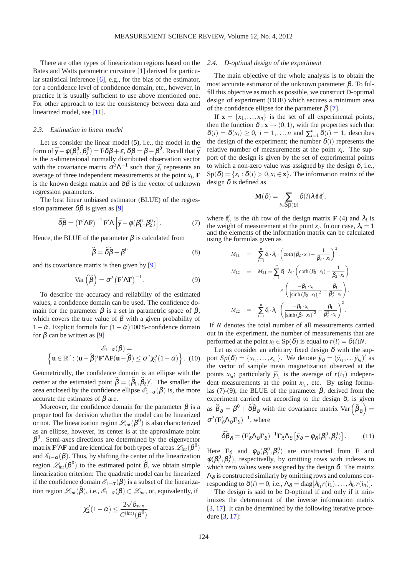There are other types of linearization regions based on the Bates and Watts parametric curvature [\[1\]](#page-6-11) derived for particular statistical inference [\[6\]](#page-6-12), e.g., for the bias of the estimator, for a confidence level of confidence domain, etc., however, in practice it is usually sufficient to use above mentioned one. For other approach to test the consistency between data and linearized model, see [\[11\]](#page-6-13).

#### 2.3. Estimation in linear model

Let us consider the linear model [\(5\)](#page-2-1), i.e., the model in the form of  $\bar{\mathbf{y}} - \phi(\beta_1^0, \beta_2^0) = \mathbf{F}\delta\beta + \varepsilon$ ,  $\delta\beta = \beta - \beta^0$ . Recall that  $\bar{\mathbf{y}}$ is the *n*-dimensional normally distributed observation vector with the covariance matrix  $\sigma^2 \Lambda^{-1}$  such that  $\bar{y}_i$  represents an average of three independent measurements at the point  $x_i$ ,  $\mathbf{F}$ is the known design matrix and  $\delta\beta$  is the vector of unknown regression parameters.

The best linear unbiased estimator (BLUE) of the regression parameter  $\delta\beta$  is given as [\[9\]](#page-6-14)

<span id="page-3-0"></span>
$$
\widehat{\delta\beta} = \left(\mathbf{F}'\Lambda\mathbf{F}\right)^{-1}\mathbf{F}'\Lambda\left[\bar{\mathbf{y}} - \phi(\beta_1^0, \beta_2^0)\right].\tag{7}
$$

Hence, the BLUE of the parameter  $\beta$  is calculated from

$$
\widehat{\beta} = \widehat{\delta\beta} + \beta^0 \tag{8}
$$

and its covariance matrix is then given by [\[9\]](#page-6-14)

<span id="page-3-1"></span>
$$
Var\left(\widehat{\boldsymbol{\beta}}\right) = \sigma^2 \left(\mathbf{F}' \boldsymbol{\Lambda} \mathbf{F}\right)^{-1}.
$$
 (9)

To describe the accuracy and reliability of the estimated values, a confidence domain can be used. The confidence domain for the parameter  $\beta$  is a set in parametric space of  $\beta$ , which covers the true value of  $\beta$  with a given probability of 1 − α. Explicit formula for  $(1 - \alpha)100%$ -confidence domain for  $β$  can be written as [\[9\]](#page-6-14)

<span id="page-3-2"></span>
$$
\mathscr{E}_{1-\alpha}(\beta) =
$$

$$
\left\{ \mathbf{u} \in \mathbb{R}^2 : (\mathbf{u} - \widehat{\beta})' \mathbf{F}' \Lambda \mathbf{F}(\mathbf{u} - \widehat{\beta}) \le \sigma^2 \chi_2^2 (1 - \alpha) \right\}. (10)
$$

Geometrically, the confidence domain is an ellipse with the center at the estimated point  $\beta = (\beta_1, \beta_2)'$ . The smaller the area enclosed by the confidence ellipse  $\mathscr{E}_{1-\alpha}(\beta)$  is, the more accurate the estimates of  $\beta$  are.

Moreover, the confidence domain for the parameter  $\beta$  is a proper tool for decision whether the model can be linearized or not. The linearization region  $\mathcal{L}_{int}(\beta^0)$  is also characterized as an ellipse, however, its center is at the approximate point  $\beta^0$ . Semi-axes directions are determined by the eigenvector matrix  $\mathbf{F}'\Lambda\mathbf{F}$  and are identical for both types of areas  $\mathscr{L}_{int}(\boldsymbol{\beta}^0)$ and  $\mathscr{E}_{1-\alpha}(\beta)$ . Thus, by shifting the center of the linearization region  $\mathscr{L}_{int}(\beta^0)$  to the estimated point  $\widehat{\beta}$ , we obtain simple linearization criterion: The quadratic model can be linearized if the confidence domain  $\mathscr{E}_{1-\alpha}(\beta)$  is a subset of the linearization region  $\mathscr{L}_{int}(\widehat{\beta})$ , i.e.,  $\mathscr{E}_{1-\alpha}(\beta) \subset \mathscr{L}_{int}$ , or, equivalently, if

$$
\chi_2^2(1-\alpha) \leq \frac{2\sqrt{\delta_{max}}}{C^{(\text{int})}(\beta^0)}
$$

.

## 2.4. D-optimal design of the experiment

The main objective of the whole analysis is to obtain the most accurate estimator of the unknown parameter  $β$ . To fulfill this objective as much as possible, we construct D-optimal design of experiment (DOE) which secures a minimum area of the confidence ellipse for the parameter  $\beta$  [\[7\]](#page-6-15).

If  $\mathbf{x} = \{x_1, \ldots, x_n\}$  is the set of all experimental points, then the function  $\delta$  :  $\mathbf{x} \rightarrow \langle 0,1 \rangle$ , with the properties such that  $\delta(i) = \delta(x_i) \geq 0$ ,  $i = 1, ..., n$  and  $\sum_{i=1}^{n} \delta(i) = 1$ , describes the design of the experiment; the number  $\delta(i)$  represents the relative number of measurements at the point  $x_i$ . The support of the design is given by the set of experimental points to which a non-zero value was assigned by the design  $\delta$ , i.e.,  $\text{Sp}(\delta) = \{x_i : \delta(i) > 0, x_i \in \mathbf{x}\}.$  The information matrix of the design  $\delta$  is defined as

$$
\mathbf{M}(\delta) = \sum_{i \in \mathrm{Sp}(\delta)} \delta(i) \lambda_i \mathbf{f}_i \mathbf{f}'_i,
$$

where  $f'_{i}$ , is the *i*th row of the design matrix **F** [\(4\)](#page-2-2) and  $\lambda_{i}$  is the weight of measurement at the point  $x_i$ . In our case,  $\lambda_i = 1$ and the elements of the information matrix can be calculated using the formulas given as

$$
M_{11} = \sum_{i=1}^{n} \delta_i \cdot \lambda_i \cdot \left(\coth\left(\beta_2 \cdot x_i\right) - \frac{1}{\beta_2 \cdot x_i}\right)^2,
$$
  
\n
$$
M_{12} = M_{21} = \sum_{i=1}^{n} \delta_i \cdot \lambda_i \cdot \left(\coth\left(\beta_2 \cdot x_i\right) - \frac{1}{\beta_2 \cdot x_i}\right)
$$
  
\n
$$
\times \left(\frac{-\beta_1 \cdot x_i}{\left[\sinh\left(\beta_2 \cdot x_i\right)\right]^2} + \frac{\beta_1}{\beta_2^2 \cdot x_i}\right),
$$
  
\n
$$
M_{22} = \sum_{i=1}^{n} \delta_i \cdot \lambda_i \cdot \left(\frac{-\beta_1 \cdot x_i}{\left[\sinh\left(\beta_2 \cdot x_i\right)\right]^2} + \frac{\beta_1}{\beta_2^2 \cdot x_i}\right)^2.
$$

If *N* denotes the total number of all measurements carried out in the experiment, the number of measurements that are performed at the point  $x_i \in Sp(\delta)$  is equal to  $r(i) = \delta(i)N$ .

Let us consider an arbitrary fixed design  $\delta$  with the support  $Sp(\delta) = \{x_{i_1}, \ldots, x_{i_n}\}$ . We denote  $\bar{\mathbf{y}}_{\delta} = (\bar{y}_{i_1}, \ldots, \bar{y}_{i_n})'$  as the vector of sample mean magnetization observed at the points  $x_{i_n}$ ; particularly  $\bar{y}_{i_1}$  is the average of  $r(i_1)$  independent measurements at the point  $x_{i_1}$ , etc. By using formu-las [\(7\)](#page-3-0)-[\(9\)](#page-3-1), the BLUE of the parameter  $β$ , derived from the experiment carried out according to the design  $\delta$ , is given as  $\hat{\beta}_{\delta} = \beta^0 + \hat{\delta}\hat{\beta}_{\delta}$  with the covariance matrix  $\text{Var}(\hat{\beta}_{\delta}) =$  $\sigma^2 (\mathbf{F}'_{\delta} \Lambda_{\delta} \mathbf{F}_{\delta})^{-1}$ , where

$$
\widehat{\delta\beta}_{\delta} = (\mathbf{F}'_{\delta} \Lambda_{\delta} \mathbf{F}_{\delta})^{-1} \mathbf{F}'_{\delta} \Lambda_{\delta} \left[ \bar{\mathbf{y}}_{\delta} - \phi_{\delta}(\beta_1^0, \beta_2^0) \right]. \tag{11}
$$

Here  $\mathbf{F}_{\delta}$  and  $\phi_{\delta}(\beta_1^0, \beta_2^0)$  are constructed from **F** and  $\phi(\beta_1^0, \beta_2^0)$ , respectivelly, by omitting rows with indexes to which zero values were assigned by the design  $\delta$ . The matrix  $\Lambda_{\delta}$  is constructed similarly by omitting rows and columns corresponding to  $\delta(i) = 0$ , i.e.,  $\Lambda_{\delta} = \text{diag}[\lambda_{i_1}r(i_1), \ldots, \lambda_{i_n}r(i_n)].$ 

The design is said to be D-optimal if and only if it minimizes the determinant of the inverse information matrix [\[3,](#page-6-16) [17\]](#page-6-17). It can be determined by the following iterative procedure [\[3,](#page-6-16) [17\]](#page-6-17):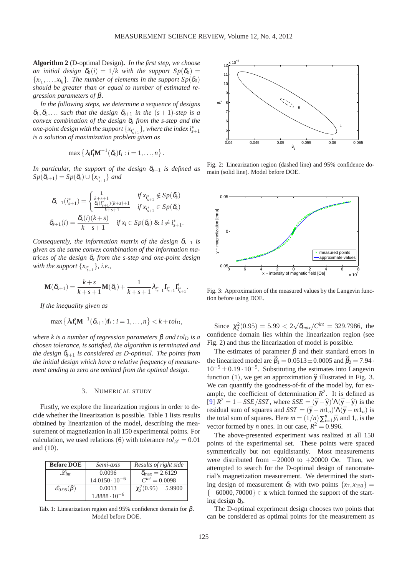**Algorithm 2** (D-optimal Design)**.** *In the first step, we choose an initial design*  $\delta_0(i) = 1/k$  with the support  $Sp(\delta_0)$  ${x_{i_1},...,x_{i_k}}$ *. The number of elements in the support*  $Sp(\delta_0)$ *should be greater than or equal to number of estimated regression parameters of* β*.*

*In the following steps, we determine a sequence of designs*  $\delta_1, \delta_2, \ldots$  *such that the design*  $\delta_{s+1}$  *in the*  $(s+1)$ *-step is a convex combination of the design* <sup>δ</sup>*<sup>s</sup> from the s-step and the one-point design with the support*  $\{x_{i_{s+1}^*}\}$ , where the index  $i_{s+1}^*$ *is a solution of maximization problem given as*

$$
\max \left\{ \lambda_i \mathbf{f}_i' \mathbf{M}^{-1}(\delta_s) \mathbf{f}_i : i = 1, \ldots, n \right\}.
$$

*In particular, the support of the design*  $\delta_{s+1}$  *is defined as*  $Sp(\delta_{s+1}) = Sp(\delta_{s}) \cup \{x_{i_{s+1}^{*}}\}$  and

$$
\delta_{s+1}(i_{s+1}^*) = \begin{cases}\n\frac{1}{k+s+1} & \text{if } x_{i_{s+1}^*} \notin Sp(\delta_s) \\
\frac{\delta_s(i_{s+1}^*) (k+s) + 1}{k+s+1} & \text{if } x_{i_{s+1}^*} \in Sp(\delta_s) \\
\delta_{s+1}(i) = \frac{\delta_s(i) (k+s)}{k+s+1} & \text{if } x_i \in Sp(\delta_s) \text{ & } i \neq i_{s+1}^*.\n\end{cases}
$$

*Consequently, the information matrix of the design*  $\delta_{s+1}$  *is given as the same convex combination of the information matrices of the design* <sup>δ</sup>*<sup>s</sup> from the s-step and one-point design with the support*  $\{x_{i_{s+1}^*}\}\$ *, i.e.,* 

$$
\mathbf{M}(\delta_{s+1}) = \frac{k+s}{k+s+1}\mathbf{M}(\delta_s) + \frac{1}{k+s+1}\lambda_{i_{s+1}^*} \mathbf{f}_{i_{s+1}^*}^* \mathbf{f}_{i_{s+1}^*}^*
$$

*If the inequality given as*

$$
\max\left\{\lambda_i \mathbf{f}_i'\mathbf{M}^{-1}(\delta_{s+1})\mathbf{f}_i : i=1,\ldots,n\right\} < k + tol_D,
$$

*where k is a number of regression parameters*  $\beta$  *and tolp is a chosen tolerance, is satisfied, the algorithm is terminated and the design*  $\delta_{s+1}$  *is considered as D-optimal. The points from the initial design which have a relative frequency of measurement tending to zero are omitted from the optimal design.*

#### 3. NUMERICAL STUDY

Firstly, we explore the linearization regions in order to decide whether the linearization is possible. Table 1 lists results obtained by linearization of the model, describing the measurement of magnetization in all 150 experimental points. For calculation, we used relations ([6](#page-2-3)) with tolerance  $tol \varphi = 0.01$ and ([10](#page-3-2)).

| <b>Before DOE</b>           | Semi-axis               | Results of right side          |
|-----------------------------|-------------------------|--------------------------------|
| $\mathscr{L}_{int}$         | 0.0096                  | $\delta_{\text{max}} = 2.6129$ |
|                             | $14.0150 \cdot 10^{-6}$ | $C^{int} = 0.0098$             |
| $\mathscr{E}_{0.95}(\beta)$ | 0.0013                  | $\chi^2(0.95) = 5.9900$        |
|                             | $1.8888 \cdot 10^{-6}$  |                                |

Tab. 1: Linearization region and 95% confidence domain for β. Model before DOE.



Fig. 2: Linearization region (dashed line) and 95% confidence domain (solid line). Model before DOE.



Fig. 3: Approximation of the measured values by the Langevin function before using DOE.

Since  $\chi^2(0.95) = 5.99 < 2\sqrt{\delta_{max}}/C^{int} = 329.7986$ , the confidence domain lies within the linearization region (see Fig. 2) and thus the linearization of model is possible.

The estimates of parameter  $\beta$  and their standard errors in the linearized model are  $\hat{\beta}_1 = 0.0513 \pm 0.0005$  and  $\hat{\beta}_2 = 7.94 \cdot$  $10^{-5} \pm 0.19 \cdot 10^{-5}$ . Substituting the estimates into Langevin function ([1](#page-0-0)), we get an approximation  $\hat{y}$  illustrated in Fig. 3. We can quantify the goodness-of-fit of the model by, for example, the coefficient of determination  $R^2$ . It is defined as  $[9]$   $R^2 = 1 - SSE/ SST$ , where  $SSE = (\bar{y} - \hat{y})/\Lambda(\bar{y} - \hat{y})$  is the residual sum of squares and  $SST = (\bar{y} - m1_n)'\Lambda(\bar{y} - m1_n)$  is the total sum of squares. Here  $m = (1/n) \sum_{i=1}^{n} \bar{y}_i$  and  $1_n$  is the vector formed by *n* ones. In our case,  $R^2 = 0.996$ .

The above-presented experiment was realized at all 150 points of the experimental set. These points were spaced symmetrically but not equidistantly. Most measurements were distributed from −20000 to +20000 Oe. Then, we attempted to search for the D-optimal design of nanomaterial's magnetization measurement. We determined the starting design of measurement  $\delta_0$  with two points  $\{x_7, x_{150}\}$  = {−60000,70000} ∈ **x** which formed the support of the starting design  $\delta_0$ .

The D-optimal experiment design chooses two points that can be considered as optimal points for the measurement as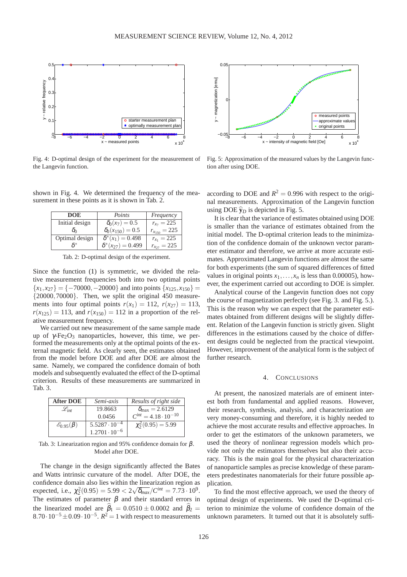

Fig. 4: D-optimal design of the experiment for the measurement of the Langevin function.

shown in Fig. 4. We determined the frequency of the measurement in these points as it is shown in Tab. 2.

| <b>DOE</b>     | Points                     | Frequency           |
|----------------|----------------------------|---------------------|
| Initial design | $\delta_0(x_7) = 0.5$      | $r_{x_7} = 225$     |
| δ'n            | $\delta_0(x_{150}) = 0.5$  | $r_{x_{150}} = 225$ |
| Optimal design | $\delta^*(x_1) = 0.498$    | $r_{x_1} = 225$     |
|                | $\delta^*(x_{27}) = 0.499$ | $r_{x_{27}} = 225$  |
|                |                            |                     |

Tab. 2: D-optimal design of the experiment.

Since the function [\(1\)](#page-0-0) is symmetric, we divided the relative measurement frequencies both into two optimal points  ${x_1, x_{27}} = {-70000, -20000}$  and into points  ${x_{125}, x_{150}} =$  ${20000,70000}$ . Then, we split the original 450 measurements into four optimal points  $r(x_1) = 112$ ,  $r(x_{27}) = 113$ ,  $r(x_{125}) = 113$ , and  $r(x_{150}) = 112$  in a proportion of the relative measurement frequency.

We carried out new measurement of the same sample made up of  $\gamma$ -Fe<sub>2</sub>O<sub>3</sub> nanoparticles, however, this time, we performed the measurements only at the optimal points of the external magnetic field. As clearly seen, the estimates obtained from the model before DOE and after DOE are almost the same. Namely, we compared the confidence domain of both models and subsequently evaluated the effect of the D-optimal criterion. Results of these measurements are summarized in Tab. 3.

| <b>After DOE</b>            | Semi-axis              | Results of right side           |
|-----------------------------|------------------------|---------------------------------|
| $\mathscr{L}_{int}$         | 19.8663                | $\delta_{\text{max}} = 2.6129$  |
|                             | 0.0456                 | $C^{int} = 4.18 \cdot 10^{-10}$ |
| $\mathscr{E}_{0.95}(\beta)$ | $5.5287 \cdot 10^{-4}$ | $\chi^2(0.95) = 5.99$           |
|                             | $1.2701 \cdot 10^{-6}$ |                                 |

Tab. 3: Linearization region and 95% confidence domain for β. Model after DOE.

The change in the design significantly affected the Bates and Watts intrinsic curvature of the model. After DOE, the confidence domain also lies within the linearization region as expected, i.e.,  $\chi^2(0.95) = 5.99 < 2\sqrt{\delta_{max}}/C^{int} = 7.73 \cdot 10^9$ . The estimates of parameter  $\beta$  and their standard errors in the linearized model are  $\beta_1 = 0.0510 \pm 0.0002$  and  $\beta_2 =$  $8.70 \cdot 10^{-5} \pm 0.09 \cdot 10^{-5}$ .  $R^2 = 1$  with respect to measurements



Fig. 5: Approximation of the measured values by the Langevin function after using DOE.

according to DOE and  $R^2 = 0.996$  with respect to the original measurements. Approximation of the Langevin function using DOE  $\hat{y}_D$  is depicted in Fig. 5.

It is clear that the variance of estimates obtained using DOE is smaller than the variance of estimates obtained from the initial model. The D-optimal criterion leads to the minimization of the confidence domain of the unknown vector parameter estimator and therefore, we arrive at more accurate estimates. Approximated Langevin functions are almost the same for both experiments (the sum of squared differences of fitted values in original points  $x_1, \ldots, x_n$  is less than 0.00005), however, the experiment carried out according to DOE is simpler.

Analytical course of the Langevin function does not copy the course of magnetization perfectly (see Fig. 3. and Fig. 5.). This is the reason why we can expect that the parameter estimates obtained from different designs will be slightly different. Relation of the Langevin function is strictly given. Slight differences in the estimations caused by the choice of different designs could be neglected from the practical viewpoint. However, improvement of the analytical form is the subject of further research.

# 4. CONCLUSIONS

At present, the nanosized materials are of eminent interest both from fundamental and applied reasons. However, their research, synthesis, analysis, and characterization are very money-consuming and therefore, it is highly needed to achieve the most accurate results and effective approaches. In order to get the estimators of the unknown parameters, we used the theory of nonlinear regression models which provide not only the estimators themselves but also their accuracy. This is the main goal for the physical characterization of nanoparticle samples as precise knowledge of these parameters predestinates nanomaterials for their future possible application.

To find the most effective approach, we used the theory of optimal design of experiments. We used the D-optimal criterion to minimize the volume of confidence domain of the unknown parameters. It turned out that it is absolutely suffi